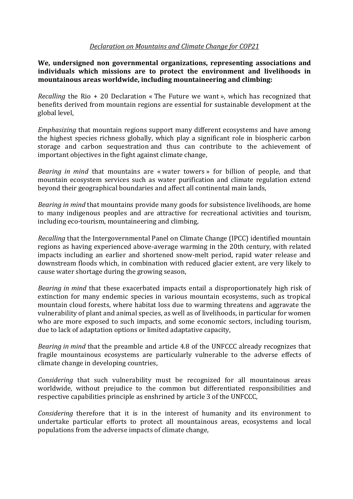## *Declaration on Mountains and Climate Change for COP21*

**We, undersigned non governmental organizations, representing associations and individuals which missions are to protect the environment and livelihoods in mountainous areas worldwide, including mountaineering and climbing:**

*Recalling* the Rio + 20 Declaration « The Future we want », which has recognized that benefits derived from mountain regions are essential for sustainable development at the global level,

*Emphasizing* that mountain regions support many different ecosystems and have among the highest species richness globally, which play a significant role in biospheric carbon storage and carbon sequestration and thus can contribute to the achievement of important objectives in the fight against climate change,

*Bearing in mind* that mountains are « water towers » for billion of people, and that mountain ecosystem services such as water purification and climate regulation extend beyond their geographical boundaries and affect all continental main lands,

*Bearing in mind* that mountains provide many goods for subsistence livelihoods, are home to many indigenous peoples and are attractive for recreational activities and tourism, including eco-tourism, mountaineering and climbing,

*Recalling* that the Intergovernmental Panel on Climate Change (IPCC) identified mountain regions as having experienced above-average warming in the 20th century, with related impacts including an earlier and shortened snow-melt period, rapid water release and downstream floods which, in combination with reduced glacier extent, are very likely to cause water shortage during the growing season,

*Bearing in mind* that these exacerbated impacts entail a disproportionately high risk of extinction for many endemic species in various mountain ecosystems, such as tropical mountain cloud forests, where habitat loss due to warming threatens and aggravate the vulnerability of plant and animal species, as well as of livelihoods, in particular for women who are more exposed to such impacts, and some economic sectors, including tourism, due to lack of adaptation options or limited adaptative capacity,

*Bearing in mind* that the preamble and article 4.8 of the UNFCCC already recognizes that fragile mountainous ecosystems are particularly vulnerable to the adverse effects of climate change in developing countries,

*Considering* that such vulnerability must be recognized for all mountainous areas worldwide, without prejudice to the common but differentiated responsibilities and respective capabilities principle as enshrined by article 3 of the UNFCCC,

*Considering* therefore that it is in the interest of humanity and its environment to undertake particular efforts to protect all mountainous areas, ecosystems and local populations from the adverse impacts of climate change,